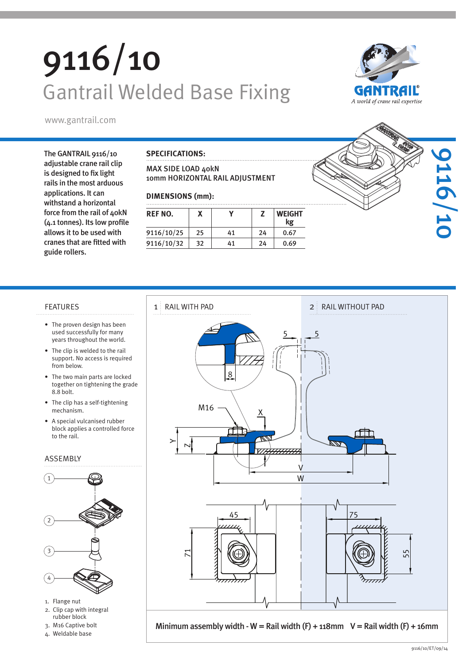# 9116/10 Gantrail Welded Base Fixing



www.gantrail.com

The GANTRAIL 9116/10 adjustable crane rail clip is designed to fix light rails in the most arduous applications. It can withstand a horizontal force from the rail of 40kN (4.1 tonnes). Its low profile allows it to be used with cranes that are fitted with guide rollers.

### **SPECIFICATIONS:**

MAX SIDE LOAD 40kN 10mm HORIZONTAL RAIL ADJUSTMENT

### **DIMENSIONS (mm):**

| REF NO.    |    |    |    | <b>WEIGHT</b><br>kg |
|------------|----|----|----|---------------------|
| 9116/10/25 | 25 | 41 | 24 | 0.67                |
| 9116/10/32 | 32 | 41 | 24 | 0.69                |



### FEATURES 1 RAIL WITH PAD

- The proven design has been used successfully for many years throughout the world.
- The clip is welded to the rail support. No access is required from below.
- The two main parts are locked together on tightening the grade 8.8 bolt.
- The clip has a self-tightening mechanism.
- A special vulcanised rubber block applies a controlled force to the rail.

### ASSEMBLY



- 1. Flange nut
- 2. Clip cap with integral
- rubber block 3. M16 Captive bolt
- 
- 4. Weldable base



Minimum assembly width - W = Rail width  $(F) + 118$ mm V = Rail width  $(F) + 16$ mm